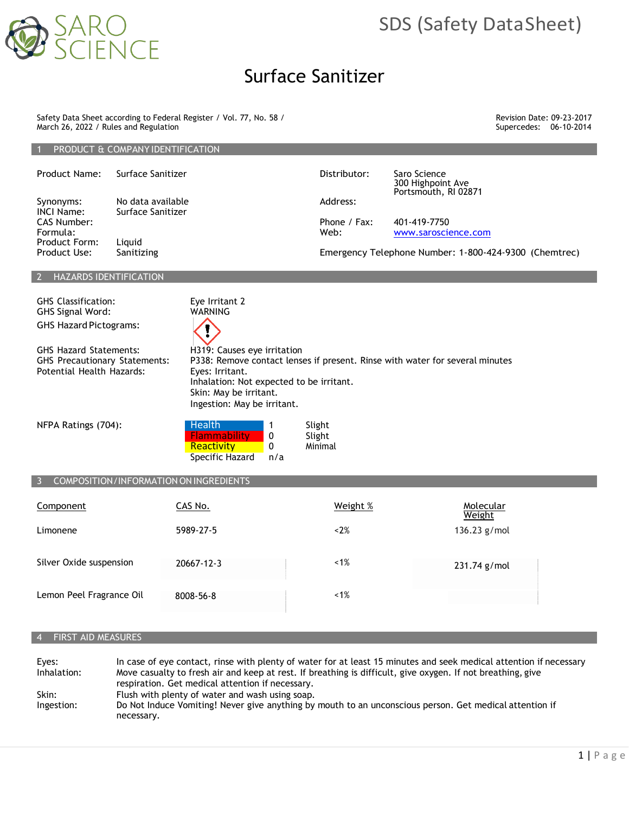

# SDS (Safety DataSheet)

# Surface Sanitizer

Safety Data Sheet according to Federal Register / Vol. 77, No. 58 / March 26, 2022 / Rules and Regulation

1 PRODUCT & COMPANY IDENTIFICATION

Revision Date: 09-23-2017 Supercedes: 06-10-2014

| Product Name:                    | Surface Sanitizer                      | Distributor: | Saro Science<br>300 Highpoint Ave<br>Portsmouth, RI 02871 |
|----------------------------------|----------------------------------------|--------------|-----------------------------------------------------------|
| Synonyms:<br>INCI Name:          | No data available<br>Surface Sanitizer | Address:     |                                                           |
| <b>CAS Number:</b>               |                                        | Phone / Fax: | 401-419-7750                                              |
| Formula:<br><b>Product Form:</b> | Liauid                                 | Web:         | www.saroscience.com                                       |
| Product Use:                     | Sanitizing                             |              | Emergency Telephone Number: 1-800-424-9300 (Chemtrec)     |
|                                  | <b>LIAZADDC IDENTIEICATION</b>         |              |                                                           |

## HAZARDS IDENTIFICATION

GHS Classification: Eye Irritant 2<br>GHS Signal Word: Example MARNING GHS Signal Word: GHS Hazard Pictograms:

GHS Hazard Statements: H319: Causes eye irritation Potential Health Hazards: Eyes: Irritant.

GHS Precautionary Statements: P338: Remove contact lenses if present. Rinse with water for several minutes Inhalation: Not expected to be irritant. Skin: May be irritant. Ingestion: May be irritant.

| NFPA Ratings (704): | . Health'           |     | Slight  |
|---------------------|---------------------|-----|---------|
|                     | <b>Flammability</b> |     | Slight  |
|                     | Reactivity          |     | Minimal |
|                     | Specific Hazard     | n/a |         |

## COMPOSITION/INFORMATION ON INGREDIENTS

| Component                | CAS No.    | Weight % | Molecular<br>Weight |
|--------------------------|------------|----------|---------------------|
| Limonene                 | 5989-27-5  | < 2%     | 136.23 g/mol        |
| Silver Oxide suspension  | 20667-12-3 | $~1\%$   | 231.74 g/mol        |
| Lemon Peel Fragrance Oil | 8008-56-8  | $~1\%$   |                     |

### 4 FIRST AID MEASURES

Eyes: In case of eye contact, rinse with plenty of water for at least 15 minutes and seek medical attention if necessary Inhalation: Move casualty to fresh air and keep at rest. If breathing is difficult, give oxygen. If not breathing, give respiration. Get medical attention if necessary. Skin: Flush with plenty of water and wash using soap. Ingestion: Do Not Induce Vomiting! Never give anything by mouth to an unconscious person. Get medical attention if necessary.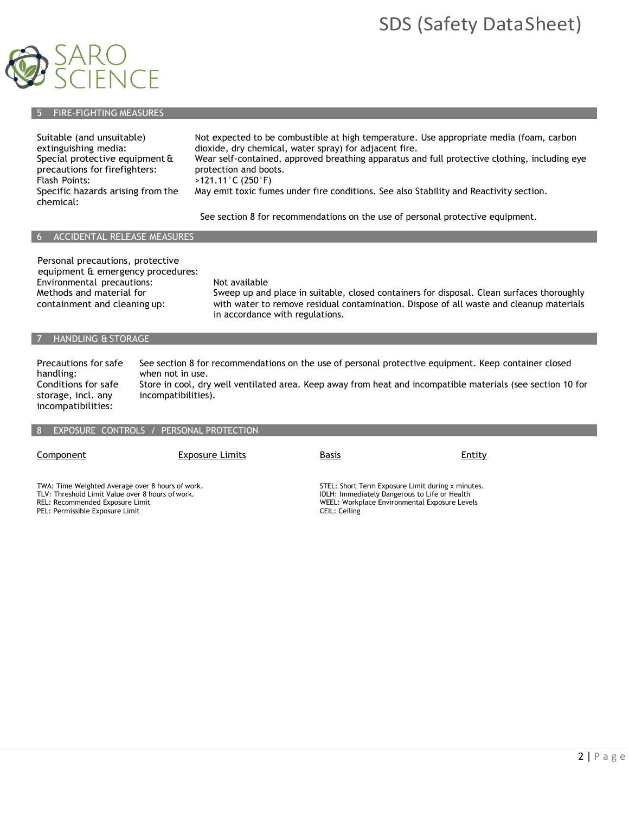# SDS (Safety DataSheet)



# 5 FIRE-FIGHTING MEASURES

| Suitable (and unsuitable)<br>extinguishing media:<br>Special protective equipment &<br>precautions for firefighters:<br>Flash Points:<br>Specific hazards arising from the<br>chemical: | Not expected to be combustible at high temperature. Use appropriate media (foam, carbon<br>dioxide, dry chemical, water spray) for adjacent fire.<br>Wear self-contained, approved breathing apparatus and full protective clothing, including eye<br>protection and boots.<br>$>121.11^{\circ}$ C (250 $^{\circ}$ F)<br>May emit toxic fumes under fire conditions. See also Stability and Reactivity section. |
|-----------------------------------------------------------------------------------------------------------------------------------------------------------------------------------------|-----------------------------------------------------------------------------------------------------------------------------------------------------------------------------------------------------------------------------------------------------------------------------------------------------------------------------------------------------------------------------------------------------------------|
|                                                                                                                                                                                         | See section 8 for recommendations on the use of personal protective equipment.                                                                                                                                                                                                                                                                                                                                  |

### 6 ACCIDENTAL RELEASE MEASURES

| Personal precautions, protective<br>equipment & emergency procedures: |                                                                                                                            |
|-----------------------------------------------------------------------|----------------------------------------------------------------------------------------------------------------------------|
| Environmental precautions:                                            | Not available                                                                                                              |
| Methods and material for                                              | Sweep up and place in suitable, closed containers for disposal. Clean surfaces thoroughly                                  |
| containment and cleaning up:                                          | with water to remove residual contamination. Dispose of all waste and cleanup materials<br>in accordance with regulations. |

# 7 HANDLING & STORAGE

Precautions for safe handling: Conditions for safe storage, incl. any incompatibilities: See section 8 for recommendations on the use of personal protective equipment. Keep container closed when not in use. Store in cool, dry well ventilated area. Keep away from heat and incompatible materials (see section 10 for incompatibilities).

### 8 EXPOSURE CONTROLS / PERSONAL PROTECTION

**Component Exposure Limits Basis Entity** Entity

TWA: Time Weighted Average over 8 hours of work. TLV: Threshold Limit Value over 8 hours of work.

REL: Recommended Exposure Limit

PEL: Permissible Exposure Limit

STEL: Short Term Exposure Limit during x minutes. IDLH: Immediately Dangerous to Life or Health WEEL: Workplace Environmental Exposure Levels CEIL: Ceiling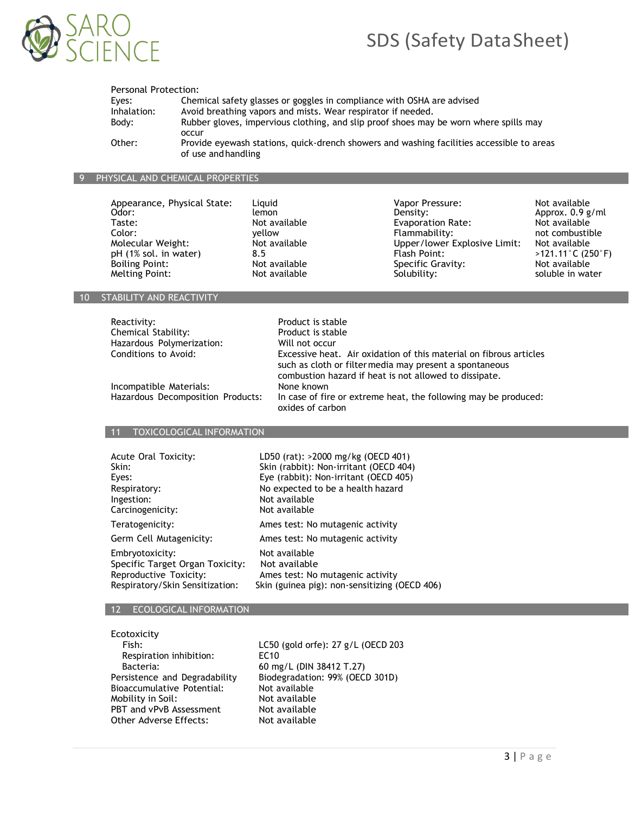

# SDS (Safety DataSheet)

| Personal Protection: |                                                                                           |
|----------------------|-------------------------------------------------------------------------------------------|
| Eves:                | Chemical safety glasses or goggles in compliance with OSHA are advised                    |
| Inhalation:          | Avoid breathing vapors and mists. Wear respirator if needed.                              |
| Body:                | Rubber gloves, impervious clothing, and slip proof shoes may be worn where spills may     |
|                      | occur                                                                                     |
| Other:               | Provide eyewash stations, quick-drench showers and washing facilities accessible to areas |
|                      | of use and handling                                                                       |

### 9 PHYSICAL AND CHEMICAL PROPERTIES

Boiling Point: Not available Specific Gravity:<br>
Melting Point: Not available Solubility:

Appearance, Physical State: Liquid and Mayor Pressure: Not available odor: Not available odor: Not available o<br>Calor: Not available odor: Not available odor: Not available odor: Not available odor: Not available of a sema Odor: lemon Density: Approx. 0.9 g/ml Evaporation Rate: Color: yellow Flammability: not combustible Molecular Weight: Not available Upper/lower Explosive Limit: Not available pH (1% sol. in water) 3.5 and 0.5 and 0.5 and 0.5 and 0.5 and 0.13 and 0.13 and 0.13 and 0.13 and 0.13 and 0.13 and 0.13 and 0.13 and 0.13 and 0.13 pH (1% sol. in water)  $\begin{array}{ccc} 8.5 \\ \text{Both:} \end{array}$  Plash Point:  $\begin{array}{ccc} 1\% & & & & \end{array}$  2121.11°C (250°F) and a soling Point:  $\begin{array}{ccc} 25 \\ \text{Both:} \end{array}$ Not available Solubility: Solubility: soluble in water

### 10 STABILITY AND REACTIVITY

| Reactivity:               |
|---------------------------|
| Chemical Stability:       |
| Hazardous Polymerization: |
| Conditions to Avoid:      |

Product is stable Product is stable Will not occur Excessive heat. Air oxidation of this material on fibrous articles such as cloth or filtermedia may present a spontaneous combustion hazard if heat is not allowed to dissipate. In case of fire or extreme heat, the following may be produced: oxides of carbon

Incompatible Materials:<br>Hazardous Decomposition Products:

### 11 TOXICOLOGICAL INFORMATION

| Acute Oral Toxicity:            | LD50 (rat): >2000 mg/kg (OECD 401)            |
|---------------------------------|-----------------------------------------------|
| Skin:                           | Skin (rabbit): Non-irritant (OECD 404)        |
| Eyes:                           | Eye (rabbit): Non-irritant (OECD 405)         |
| Respiratory:                    | No expected to be a health hazard             |
| Ingestion:                      | Not available                                 |
| Carcinogenicity:                | Not available                                 |
| Teratogenicity:                 | Ames test: No mutagenic activity              |
| Germ Cell Mutagenicity:         | Ames test: No mutagenic activity              |
| Embryotoxicity:                 | Not available                                 |
| Specific Target Organ Toxicity: | Not available                                 |
| Reproductive Toxicity:          | Ames test: No mutagenic activity              |
| Respiratory/Skin Sensitization: | Skin (guinea pig): non-sensitizing (OECD 406) |

### 12 ECOLOGICAL INFORMATION

Ecotoxicity

| <b>ECOLOXICILY</b>            |
|-------------------------------|
| Fish:                         |
| Respiration inhibition:       |
| Bacteria:                     |
| Persistence and Degradability |
| Bioaccumulative Potential:    |
| Mobility in Soil:             |
| PBT and vPvB Assessment       |
| Other Adverse Effects:        |

LC50 (gold orfe): 27 g/L (OECD 203 EC10 60 mg/L (DIN 38412 T.27) Biodegradation: 99% (OECD 301D) Not available Not available Not available Not available